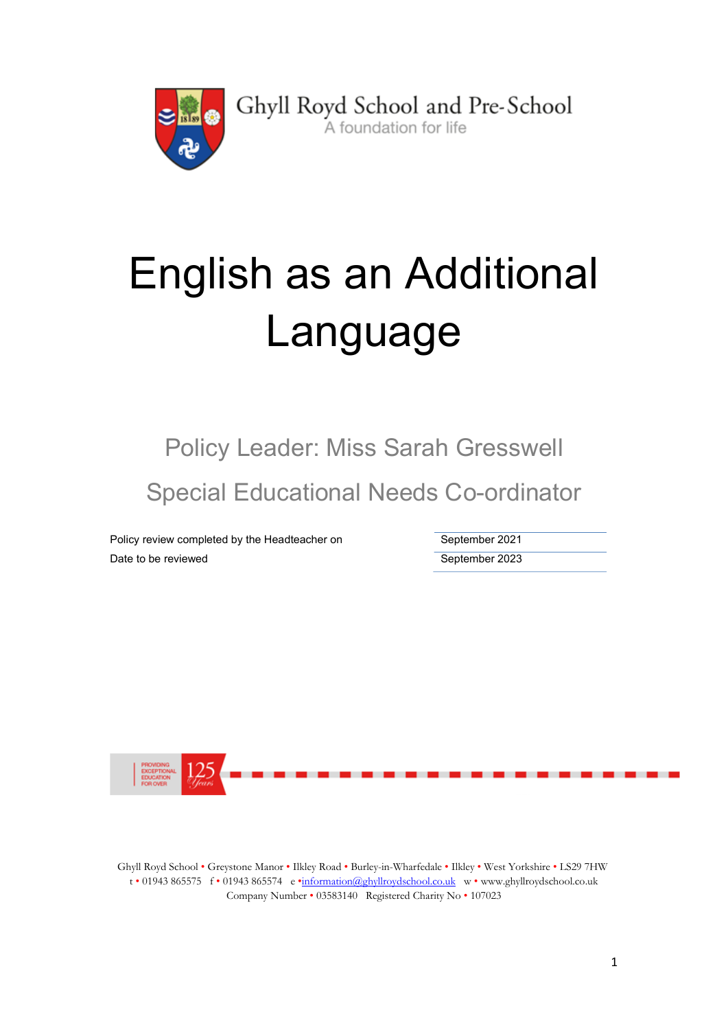

Ghyll Royd School and Pre-School A foundation for life

# English as an Additional Language

Policy Leader: Miss Sarah Gresswell Special Educational Needs Co-ordinator

Policy review completed by the Headteacher on September 2021 Date to be reviewed and the september 2023



Ghyll Royd School • Greystone Manor • Ilkley Road • Burley-in-Wharfedale • Ilkley • West Yorkshire • LS29 7HW t • 01943 865575 f • 01943 865574 e •information@ghyllroydschool.co.uk w • www.ghyllroydschool.co.uk Company Number • 03583140 Registered Charity No • 107023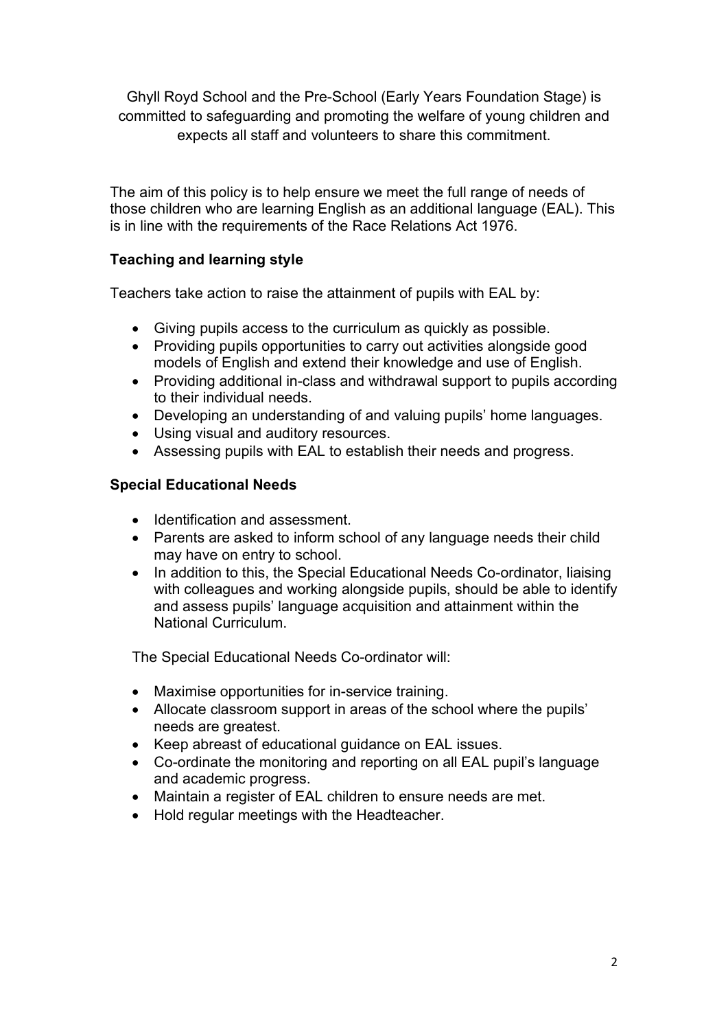Ghyll Royd School and the Pre-School (Early Years Foundation Stage) is committed to safeguarding and promoting the welfare of young children and expects all staff and volunteers to share this commitment.

The aim of this policy is to help ensure we meet the full range of needs of those children who are learning English as an additional language (EAL). This is in line with the requirements of the Race Relations Act 1976.

### Teaching and learning style

Teachers take action to raise the attainment of pupils with EAL by:

- Giving pupils access to the curriculum as quickly as possible.
- Providing pupils opportunities to carry out activities alongside good models of English and extend their knowledge and use of English.
- Providing additional in-class and withdrawal support to pupils according to their individual needs.
- Developing an understanding of and valuing pupils' home languages.
- Using visual and auditory resources.
- Assessing pupils with EAL to establish their needs and progress.

### Special Educational Needs

- Identification and assessment
- Parents are asked to inform school of any language needs their child may have on entry to school.
- In addition to this, the Special Educational Needs Co-ordinator, liaising with colleagues and working alongside pupils, should be able to identify and assess pupils' language acquisition and attainment within the National Curriculum.

The Special Educational Needs Co-ordinator will:

- Maximise opportunities for in-service training.
- Allocate classroom support in areas of the school where the pupils' needs are greatest.
- Keep abreast of educational quidance on EAL issues.
- Co-ordinate the monitoring and reporting on all EAL pupil's language and academic progress.
- Maintain a register of EAL children to ensure needs are met.
- Hold regular meetings with the Headteacher.